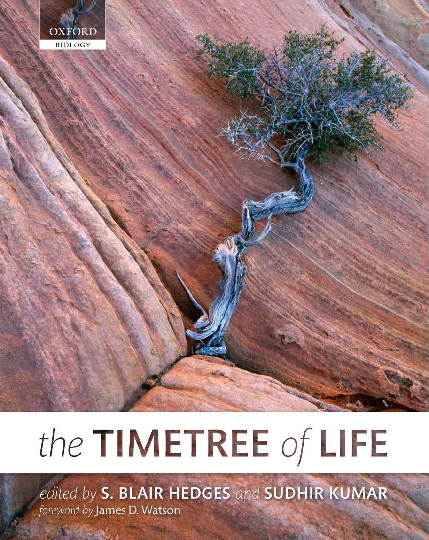

# the TIMETREE of LIFE

edited by S. BLAIR HEDGES and SUDHIR KUMAR foreword by James D. Watson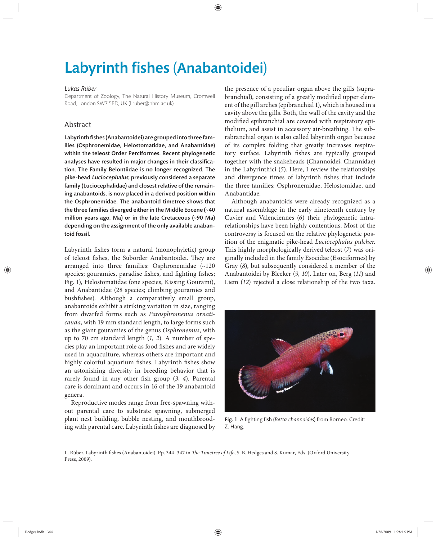# Labyrinth fishes (Anabantoidei)

### *Lukas Rüber*

Department of Zoology, The Natural History Museum, Cromwell Road, London SW7 5BD, UK (l.ruber@nhm.ac.uk)

## Abstract

Labyrinth fishes (Anabantoidei) are grouped into three families (Osphronemidae, Helostomatidae, and Anabantidae) within the teleost Order Perciformes. Recent phylogenetic analyses have resulted in major changes in their classification. The Family Belontiidae is no longer recognized. The pike-head Luciocephalus, previously considered a separate family (Luciocephalidae) and closest relative of the remaining anabantoids, is now placed in a derived position within the Osphronemidae. The anabantoid timetree shows that the three families diverged either in the Middle Eocene (~40 million years ago, Ma) or in the late Cretaceous (~90 Ma) depending on the assignment of the only available anabantoid fossil.

Labyrinth fishes form a natural (monophyletic) group of teleost fishes, the Suborder Anabantoidei. They are arranged into three families: Osphronemidae (~120 species; gouramies, paradise fishes, and fighting fishes; Fig. 1), Helostomatidae (one species, Kissing Gourami), and Anabantidae (28 species; climbing gouramies and bushfishes). Although a comparatively small group, anabantoids exhibit a striking variation in size, ranging from dwarfed forms such as *Parosphromenus ornaticauda*, with 19 mm standard length, to large forms such as the giant gouramies of the genus *Osphronemus*, with up to 70 cm standard length (1, 2). A number of species play an important role as food fishes and are widely used in aquaculture, whereas others are important and highly colorful aquarium fishes. Labyrinth fishes show an astonishing diversity in breeding behavior that is rarely found in any other fish group (3, 4). Parental care is dominant and occurs in 16 of the 19 anabantoid genera.

Reproductive modes range from free-spawning without parental care to substrate spawning, submerged plant nest building, bubble nesting, and mouthbrooding with parental care. Labyrinth fishes are diagnosed by the presence of a peculiar organ above the gills (suprabranchial), consisting of a greatly modified upper element of the gill arches (epibranchial 1), which is housed in a cavity above the gills. Both, the wall of the cavity and the modified epibranchial are covered with respiratory epithelium, and assist in accessory air-breathing. The subrabranchial organ is also called labyrinth organ because of its complex folding that greatly increases respiratory surface. Labyrinth fishes are typically grouped together with the snakeheads (Channoidei, Channidae) in the Labyrinthici (*5*). Here, I review the relationships and divergence times of labyrinth fishes that include the three families: Osphronemidae, Helostomidae, and Anabantidae.

Although anabantoids were already recognized as a natural assemblage in the early nineteenth century by Cuvier and Valenciennes (6) their phylogenetic intrarelationships have been highly contentious. Most of the controversy is focused on the relative phylogenetic position of the enigmatic pike-head *Luciocephalus pulcher*. This highly morphologically derived teleost (7) was originally included in the family Esocidae (Esociformes) by Gray (*8*), but subsequently considered a member of the Anabantoidei by Bleeker (*9, 10*). Later on, Berg (*11*) and Liem (*12*) rejected a close relationship of the two taxa.



Fig. 1 A fighting fish (Betta channoides) from Borneo. Credit: Z. Hang.

L. Rüber. Labyrinth fishes (Anabantoidei). Pp. 344-347 in *The Timetree of Life*, S. B. Hedges and S. Kumar, Eds. (Oxford University Press, 2009).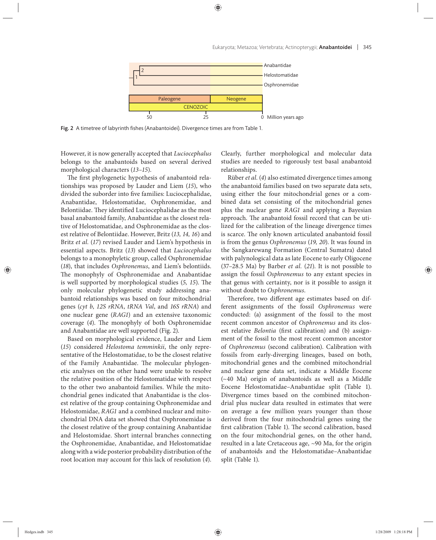

Fig. 2 A timetree of labyrinth fishes (Anabantoidei). Divergence times are from Table 1.

However, it is now generally accepted that *Luciocephalus* belongs to the anabantoids based on several derived morphological characters (*13–15*).

The first phylogenetic hypothesis of anabantoid relationships was proposed by Lauder and Liem (*15*), who divided the suborder into five families: Luciocephalidae, Anabantidae, Helostomatidae, Osphronemidae, and Belontiidae. They identified Luciocephalidae as the most basal anabantoid family, Anabantidae as the closest relative of Helostomatidae, and Osphronemidae as the closest relative of Belontiidae. However, Britz (*13, 14, 16*) and Britz *et al.* (*17*) revised Lauder and Liem's hypothesis in essential aspects. Britz (*13*) showed that *Luciocephalus* belongs to a monophyletic group, called Osphronemidae (*18*), that includes *Osphronemus*, and Liem's belontiids. The monophyly of Osphronemidae and Anabantidae is well supported by morphological studies (5, 15). The only molecular phylogenetic study addressing anabantoid relationships was based on four mitochondrial genes (*cyt b*, *12S rRNA*, *tRNA Val*, and *16S rRNA*) and one nuclear gene (*RAG1*) and an extensive taxonomic coverage (4). The monophyly of both Osphronemidae and Anabantidae are well supported (Fig. 2).

Based on morphological evidence, Lauder and Liem (*15*) considered *Helostoma temminkii*, the only representative of the Helostomatidae, to be the closest relative of the Family Anabantidae. The molecular phylogenetic analyses on the other hand were unable to resolve the relative position of the Helostomatidae with respect to the other two anabantoid families. While the mitochondrial genes indicated that Anabantidae is the closest relative of the group containing Osphronemidae and Helostomidae, *RAG1* and a combined nuclear and mitochondrial DNA data set showed that Osphronemidae is the closest relative of the group containing Anabantidae and Helostomidae. Short internal branches connecting the Osphronemidae, Anabantidae, and Helostomatidae along with a wide posterior probability distribution of the root location may account for this lack of resolution (*4*).

Clearly, further morphological and molecular data studies are needed to rigorously test basal anabantoid relationships.

Rüber *et al.* (*4*) also estimated divergence times among the anabantoid families based on two separate data sets, using either the four mitochondrial genes or a combined data set consisting of the mitochondrial genes plus the nuclear gene *RAG1* and applying a Bayesian approach. The anabantoid fossil record that can be utilized for the calibration of the lineage divergence times is scarce. The only known articulated anabantoid fossil is from the genus *Osphronemus* (*19, 20*). It was found in the Sangkarewang Formation (Central Sumatra) dated with palynological data as late Eocene to early Oligocene (37–28.5 Ma) by Barber *et al.* (*21*). It is not possible to assign the fossil *Osphronemus* to any extant species in that genus with certainty, nor is it possible to assign it without doubt to *Osphronemus*.

Therefore, two different age estimates based on different assignments of the fossil *Osphronemus* were conducted: (a) assignment of the fossil to the most recent common ancestor of *Osphronemus* and its closest relative *Belontia* (first calibration) and (b) assignment of the fossil to the most recent common ancestor of *Osphronemus* (second calibration). Calibration with fossils from early-diverging lineages, based on both, mitochondrial genes and the combined mitochondrial and nuclear gene data set, indicate a Middle Eocene (~40 Ma) origin of anabantoids as well as a Middle Eocene Helostomatidae–Anabantidae split (Table 1). Divergence times based on the combined mitochondrial plus nuclear data resulted in estimates that were on average a few million years younger than those derived from the four mitochondrial genes using the first calibration (Table 1). The second calibration, based on the four mitochondrial genes, on the other hand, resulted in a late Cretaceous age, ~90 Ma, for the origin of anabantoids and the Helostomatidae–Anabantidae split (Table 1).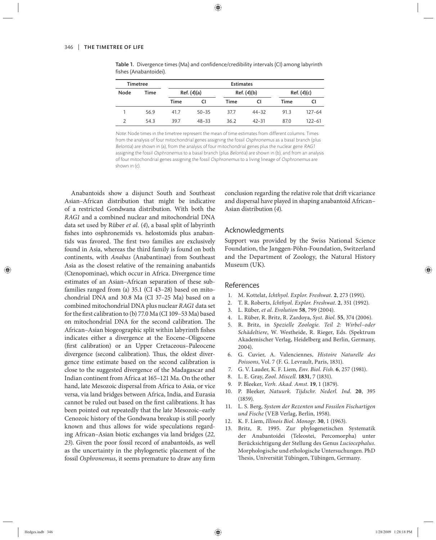| <b>Timetree</b> |      | <b>Estimates</b> |           |             |           |             |            |
|-----------------|------|------------------|-----------|-------------|-----------|-------------|------------|
| Node            | Time | Ref. (4)(a)      |           | Ref. (4)(b) |           | Ref. (4)(c) |            |
|                 |      | Time             | CI        | Time        | CI        | Time        | CI         |
|                 | 56.9 | 41.7             | $50 - 35$ | 37.7        | $44 - 32$ | 91.3        | $127 - 64$ |
|                 | 54.3 | 39.7             | $48 - 33$ | 36.2        | $42 - 31$ | 87.0        | 122-61     |

Table 1. Divergence times (Ma) and confidence/credibility intervals (CI) among labyrinth fishes (Anabantoidei).

Note: Node times in the timetree represent the mean of time estimates from different columns. Times from the analysis of four mitochondrial genes assigning the fossil Osphronemus as a basal branch (plus Belontia) are shown in (a), from the analysis of four mitochondrial genes plus the nuclear gene RAG1 assigning the fossil Osphronemus to a basal branch (plus Belontia) are shown in (b), and from an analysis of four mitochondrial genes assigning the fossil Osphronemus to a living lineage of Osphronemus are shown in (c).

Anabantoids show a disjunct South and Southeast Asian–African distribution that might be indicative of a restricted Gondwana distribution. With both the *RAG1* and a combined nuclear and mitochondrial DNA data set used by Rüber *et al.* (*4*), a basal split of labyrinth fishes into osphronemids vs. helostomids plus anabantids was favored. The first two families are exclusively found in Asia, whereas the third family is found on both continents, with *Anabas* (Anabantinae) from Southeast Asia as the closest relative of the remaining anabantids (Ctenopominae), which occur in Africa. Divergence time estimates of an Asian–African separation of these subfamilies ranged from (a) 35.1 (CI 43–28) based on mitochondrial DNA and 30.8 Ma (CI 37–25 Ma) based on a combined mitochondrial DNA plus nuclear *RAG1* data set for the first calibration to (b)  $77.0$  Ma (CI 109–53 Ma) based on mitochondrial DNA for the second calibration. The African–Asian biogeographic split within labyrinth fishes indicates either a divergence at the Eocene-Oligocene (first calibration) or an Upper Cretaceous-Paleocene divergence (second calibration). Thus, the oldest divergence time estimate based on the second calibration is close to the suggested divergence of the Madagascar and Indian continent from Africa at 165–121 Ma. On the other hand, late Mesozoic dispersal from Africa to Asia, or vice versa, via land bridges between Africa, India, and Eurasia cannot be ruled out based on the first calibrations. It has been pointed out repeatedly that the late Mesozoic–early Cenozoic history of the Gondwana breakup is still poorly known and thus allows for wide speculations regarding African–Asian biotic exchanges via land bridges (*22, 23*). Given the poor fossil record of anabantoids, as well as the uncertainty in the phylogenetic placement of the fossil *Osphronemus*, it seems premature to draw any firm

conclusion regarding the relative role that drift vicariance and dispersal have played in shaping anabantoid African– Asian distribution (*4*).

# Acknowledgments

Support was provided by the Swiss National Science Foundation, the Janggen-Pöhn-Foundation, Switzerland and the Department of Zoology, the Natural History Museum (UK).

### References

- 1. M. Kottelat, *Ichthyol. Explor. Freshwat.* **2**, 273 (1991).
- 2. T. R. Roberts, *Ichthyol. Explor. Freshwat*. **2**, 351 (1992).
- 3. L. Rüber, *et al. Evolution* **58**, 799 (2004).
- 4. L. Rüber, R. Britz, R. Zardoya, *Syst. Biol.* **55**, 374 (2006).
- 5. R. Britz, in *Spezielle Zoologie. Teil 2: Wirbel*–*oder Schädeltiere*, W. Westheide, R. Rieger, Eds. (Spektrum Akademischer Verlag, Heidelberg and Berlin, Germany, 2004).
- 6. G. Cuvier, A. Valenciennes, *Histoire Naturelle des Poissons*, Vol. 7 (F. G. Levrault, Paris, 1831).
- 7. G. V. Lauder, K. F. Liem, *Env. Biol. Fish*. **6**, 257 (1981).
- 8. L. E. Gray, *Zool. Miscell*. **1831**, 7 (1831).
- 9. P. Bleeker, *Verh. Akad. Amst*. **19**, 1 (1879).
- 10. P. Bleeker, *Natuurk. Tijdschr. Nederl. Ind*. **20**, 395 (1859).
- 11. L. S. Berg, *System der Rezenten und Fossilen Fischartigen und Fische* (VEB Verlag, Berlin, 1958).
- 12. K. F. Liem, *Illinois Biol. Monogr*. **30**, 1 (1963).
- 13. Britz, R. 1995. Zur phylogenetischen Systematik der Anabantoidei (Teleostei, Percomorpha) unter Berücksichtigung der Stellung des Genus *Luciocephalus*. Morphologische und ethologische Untersuchungen. PhD Thesis, Universität Tübingen, Tübingen, Germany.